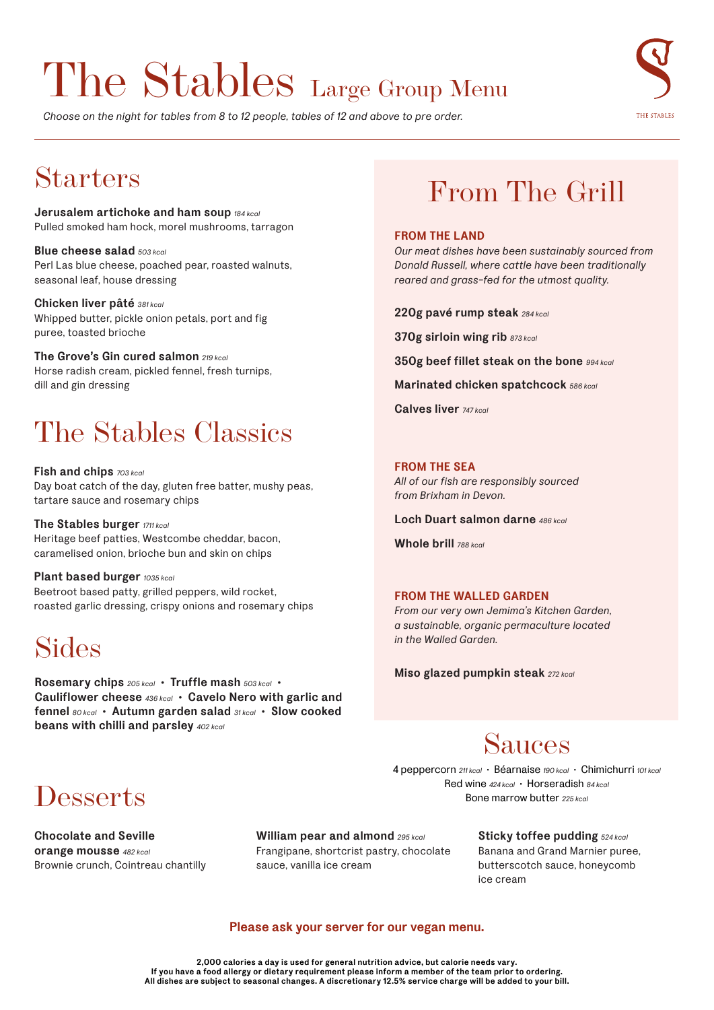## The Stables Large Group Menu

*Choose on the night for tables from 8 to 12 people, tables of 12 and above to pre order.*



## Starters

**Jerusalem artichoke and ham soup** *184 kcal* Pulled smoked ham hock, morel mushrooms, tarragon

**Blue cheese salad** *503 kcal* Perl Las blue cheese, poached pear, roasted walnuts, seasonal leaf, house dressing

**Chicken liver pâté** *381 kcal* Whipped butter, pickle onion petals, port and fig puree, toasted brioche

**The Grove's Gin cured salmon** *219 kcal* Horse radish cream, pickled fennel, fresh turnips, dill and gin dressing

## The Stables Classics

**Fish and chips** *703 kcal* Day boat catch of the day, gluten free batter, mushy peas, tartare sauce and rosemary chips

**The Stables burger** *1711 kcal* Heritage beef patties, Westcombe cheddar, bacon, caramelised onion, brioche bun and skin on chips

**Plant based burger** *1035 kcal* Beetroot based patty, grilled peppers, wild rocket, roasted garlic dressing, crispy onions and rosemary chips

## Sides

**Rosemary chips** *205 kcal* **• Truffle mash** *503 kcal* **• Cauliflower cheese** *436 kcal* **• Cavelo Nero with garlic and fennel** *80 kcal* **• Autumn garden salad** *31 kcal* **• Slow cooked beans with chilli and parsley** *402 kcal*

## **Desserts**

**Chocolate and Seville orange mousse** *482 kcal* Brownie crunch, Cointreau chantilly

**William pear and almond** *295 kcal* Frangipane, shortcrist pastry, chocolate sauce, vanilla ice cream

## From The Grill

#### **FROM THE LAND**

*Our meat dishes have been sustainably sourced from Donald Russell, where cattle have been traditionally reared and grass-fed for the utmost quality.* 

**220g pavé rump steak** *284 kcal*

**370g sirloin wing rib** *873 kcal*

**350g beef fillet steak on the bone** *994 kcal*

**Marinated chicken spatchcock** *586 kcal*

**Calves liver** *747 kcal*

#### **FROM THE SEA**

*All of our fish are responsibly sourced from Brixham in Devon.* 

**Loch Duart salmon darne** *486 kcal*

**Whole brill** *788 kcal*

#### **FROM THE WALLED GARDEN**

*From our very own Jemima's Kitchen Garden, a sustainable, organic permaculture located in the Walled Garden.*

**Miso glazed pumpkin steak** *272 kcal*

### Sauces

4 peppercorn *211 kcal* • Béarnaise *190 kcal* • Chimichurri *101 kcal* Red wine *424 kcal* • Horseradish *84 kcal* Bone marrow butter *225 kcal*

> **Sticky toffee pudding** *524 kcal* Banana and Grand Marnier puree,

butterscotch sauce, honeycomb ice cream

#### **Please ask your server for our vegan menu.**

**2,000 calories a day is used for general nutrition advice, but calorie needs vary. If you have a food allergy or dietary requirement please inform a member of the team prior to ordering. All dishes are subject to seasonal changes. A discretionary 12.5% service charge will be added to your bill.**